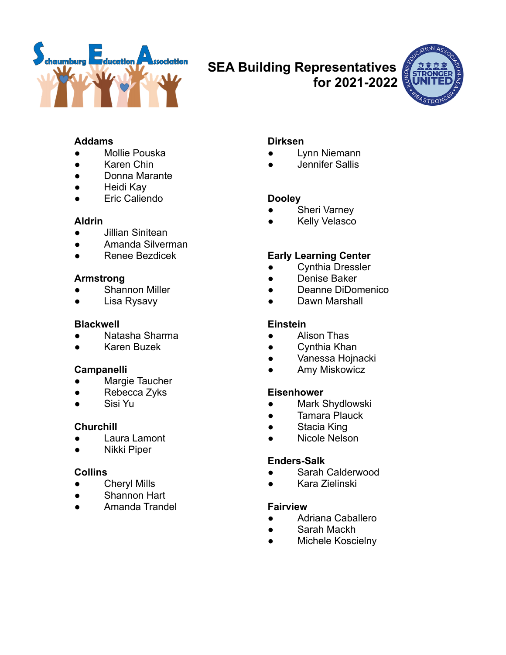

# **SEA Building Representatives**

**for 2021-2022**



# **Addams**

- Mollie Pouska
- Karen Chin
- Donna Marante
- Heidi Kay
- Eric Caliendo

## **Aldrin**

- Jillian Sinitean
- Amanda Silverman
- Renee Bezdicek

# **Armstrong**

- Shannon Miller
- Lisa Rysavy

# **Blackwell**

- Natasha Sharma
- Karen Buzek

# **Campanelli**

- Margie Taucher
- Rebecca Zyks
- Sisi Yu

# **Churchill**

- Laura Lamont
- Nikki Piper

# **Collins**

- Cheryl Mills
- Shannon Hart
- Amanda Trandel

# **Dirksen**

- Lynn Niemann
- Jennifer Sallis

# **Dooley**

- Sheri Varney
- **Kelly Velasco**

# **Early Learning Center**

- Cynthia Dressler
- Denise Baker
- Deanne DiDomenico
- Dawn Marshall

# **Einstein**

- Alison Thas
- Cynthia Khan
- Vanessa Hojnacki
- Amy Miskowicz

# **Eisenhower**

- Mark Shydlowski
- Tamara Plauck
- Stacia King
- Nicole Nelson

# **Enders-Salk**

- Sarah Calderwood
- Kara Zielinski

## **Fairview**

- Adriana Caballero
- Sarah Mackh
- Michele Koscielny